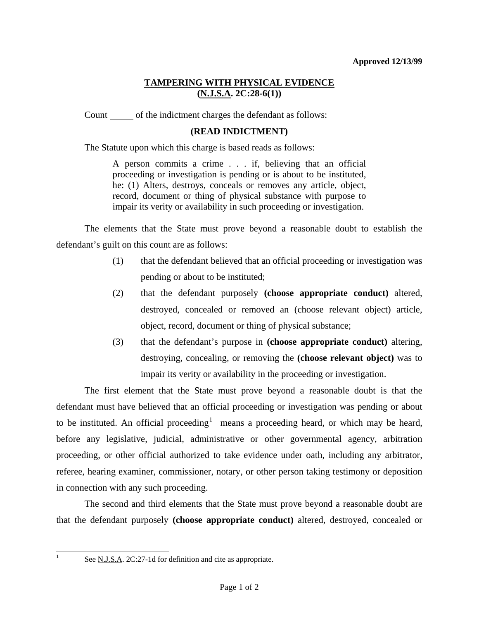## **TAMPERING WITH PHYSICAL EVIDENCE (N.J.S.A. 2C:28-6(1))**

Count of the indictment charges the defendant as follows:

## **(READ INDICTMENT)**

The Statute upon which this charge is based reads as follows:

A person commits a crime . . . if, believing that an official proceeding or investigation is pending or is about to be instituted, he: (1) Alters, destroys, conceals or removes any article, object, record, document or thing of physical substance with purpose to impair its verity or availability in such proceeding or investigation.

 The elements that the State must prove beyond a reasonable doubt to establish the defendant's guilt on this count are as follows:

- (1) that the defendant believed that an official proceeding or investigation was pending or about to be instituted;
- (2) that the defendant purposely **(choose appropriate conduct)** altered, destroyed, concealed or removed an (choose relevant object) article, object, record, document or thing of physical substance;
- (3) that the defendant's purpose in **(choose appropriate conduct)** altering, destroying, concealing, or removing the **(choose relevant object)** was to impair its verity or availability in the proceeding or investigation.

 The first element that the State must prove beyond a reasonable doubt is that the defendant must have believed that an official proceeding or investigation was pending or about to be instituted. An official proceeding<sup>[1](#page-0-0)</sup> means a proceeding heard, or which may be heard, before any legislative, judicial, administrative or other governmental agency, arbitration proceeding, or other official authorized to take evidence under oath, including any arbitrator, referee, hearing examiner, commissioner, notary, or other person taking testimony or deposition in connection with any such proceeding.

 The second and third elements that the State must prove beyond a reasonable doubt are that the defendant purposely **(choose appropriate conduct)** altered, destroyed, concealed or

<span id="page-0-0"></span> $\frac{1}{1}$ 

See <u>N.J.S.A</u>. 2C:27-1d for definition and cite as appropriate.